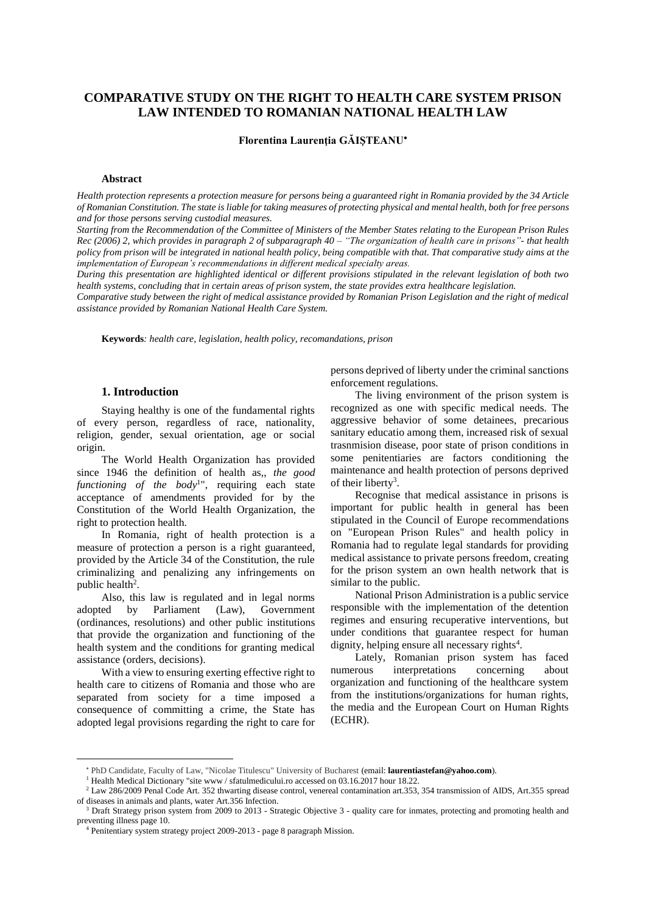# **COMPARATIVE STUDY ON THE RIGHT TO HEALTH CARE SYSTEM PRISON LAW INTENDED TO ROMANIAN NATIONAL HEALTH LAW**

**Florentina Laurenţia GĂIŞTEANU**

### **Abstract**

*Health protection represents a protection measure for persons being a guaranteed right in Romania provided by the 34 Article of Romanian Constitution. The state is liable for taking measures of protecting physical and mental health, both for free persons and for those persons serving custodial measures.* 

*Starting from the Recommendation of the Committee of Ministers of the Member States relating to the European Prison Rules Rec (2006) 2, which provides in paragraph 2 of subparagraph 40 – "The organization of health care in prisons"- that health policy from prison will be integrated in national health policy, being compatible with that. That comparative study aims at the implementation of European's recommendations in different medical specialty areas.*

*During this presentation are highlighted identical or different provisions stipulated in the relevant legislation of both two health systems, concluding that in certain areas of prison system, the state provides extra healthcare legislation.* 

*Comparative study between the right of medical assistance provided by Romanian Prison Legislation and the right of medical assistance provided by Romanian National Health Care System.* 

**Keywords***: health care, legislation, health policy, recomandations, prison* 

# **1. Introduction**

Staying healthy is one of the fundamental rights of every person, regardless of race, nationality, religion, gender, sexual orientation, age or social origin.

The World Health Organization has provided since 1946 the definition of health as,, *the good*  functioning of the body<sup>1</sup>", requiring each state acceptance of amendments provided for by the Constitution of the World Health Organization, the right to protection health.

In Romania, right of health protection is a measure of protection a person is a right guaranteed, provided by the Article 34 of the Constitution, the rule criminalizing and penalizing any infringements on public health<sup>2</sup>.

Also, this law is regulated and in legal norms adopted by Parliament (Law), Government (ordinances, resolutions) and other public institutions that provide the organization and functioning of the health system and the conditions for granting medical assistance (orders, decisions).

With a view to ensuring exerting effective right to health care to citizens of Romania and those who are separated from society for a time imposed a consequence of committing a crime, the State has adopted legal provisions regarding the right to care for persons deprived of liberty under the criminal sanctions enforcement regulations.

The living environment of the prison system is recognized as one with specific medical needs. The aggressive behavior of some detainees, precarious sanitary educatio among them, increased risk of sexual trasnmision disease, poor state of prison conditions in some penitentiaries are factors conditioning the maintenance and health protection of persons deprived of their liberty<sup>3</sup>.

Recognise that medical assistance in prisons is important for public health in general has been stipulated in the Council of Europe recommendations on "European Prison Rules" and health policy in Romania had to regulate legal standards for providing medical assistance to private persons freedom, creating for the prison system an own health network that is similar to the public.

National Prison Administration is a public service responsible with the implementation of the detention regimes and ensuring recuperative interventions, but under conditions that guarantee respect for human dignity, helping ensure all necessary rights<sup>4</sup>.

Lately, Romanian prison system has faced numerous interpretations concerning about organization and functioning of the healthcare system from the institutions/organizations for human rights, the media and the European Court on Human Rights (ECHR).

PhD Candidate, Faculty of Law, "Nicolae Titulescu" University of Bucharest (email: **laurentiastefan@yahoo.com**).

<sup>&</sup>lt;sup>1</sup> Health Medical Dictionary "site www / sfatulmedicului.ro accessed on 03.16.2017 hour 18.22.

<sup>&</sup>lt;sup>2</sup> Law 286/2009 Penal Code Art. 352 thwarting disease control, venereal contamination art.353, 354 transmission of AIDS, Art.355 spread of diseases in animals and plants, water Art.356 Infection.

<sup>3</sup> Draft Strategy prison system from 2009 to 2013 - Strategic Objective 3 - quality care for inmates, protecting and promoting health and preventing illness page 10.

<sup>4</sup> Penitentiary system strategy project 2009-2013 - page 8 paragraph Mission.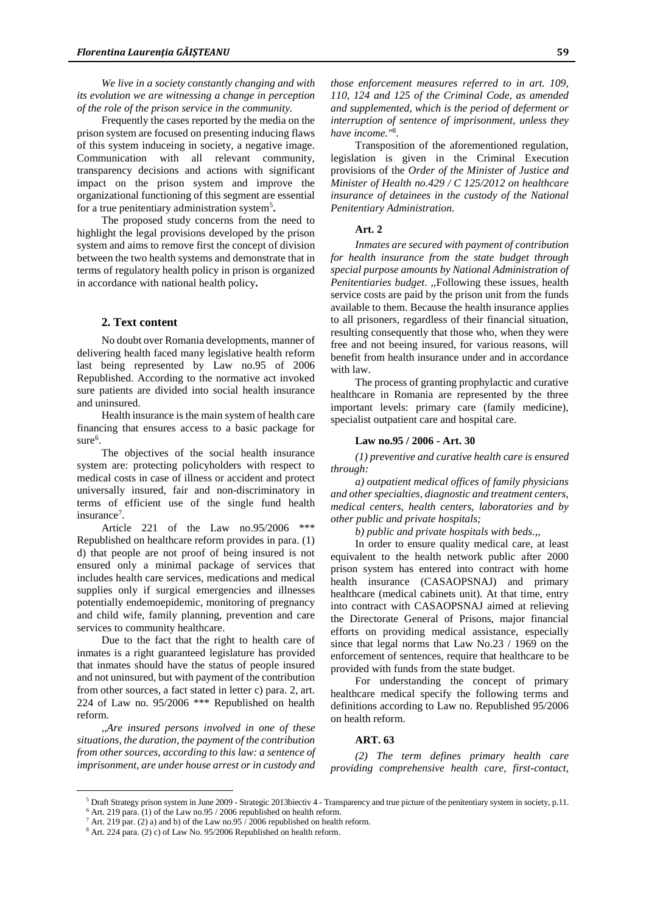*We live in a society constantly changing and with its evolution we are witnessing a change in perception of the role of the prison service in the community.*

Frequently the cases reported by the media on the prison system are focused on presenting inducing flaws of this system induceing in society, a negative image. Communication with all relevant community, transparency decisions and actions with significant impact on the prison system and improve the organizational functioning of this segment are essential for a true penitentiary administration system<sup>5</sup> **.**

The proposed study concerns from the need to highlight the legal provisions developed by the prison system and aims to remove first the concept of division between the two health systems and demonstrate that in terms of regulatory health policy in prison is organized in accordance with national health policy**.**

## **2. Text content**

No doubt over Romania developments, manner of delivering health faced many legislative health reform last being represented by Law no.95 of 2006 Republished. According to the normative act invoked sure patients are divided into social health insurance and uninsured.

Health insurance is the main system of health care financing that ensures access to a basic package for  $sure<sup>6</sup>$ .

The objectives of the social health insurance system are: protecting policyholders with respect to medical costs in case of illness or accident and protect universally insured, fair and non-discriminatory in terms of efficient use of the single fund health insurance<sup>7</sup> .

Article 221 of the Law no.95/2006 \*\*\* Republished on healthcare reform provides in para. (1) d) that people are not proof of being insured is not ensured only a minimal package of services that includes health care services, medications and medical supplies only if surgical emergencies and illnesses potentially endemoepidemic, monitoring of pregnancy and child wife, family planning, prevention and care services to community healthcare.

Due to the fact that the right to health care of inmates is a right guaranteed legislature has provided that inmates should have the status of people insured and not uninsured, but with payment of the contribution from other sources, a fact stated in letter c) para. 2, art. 224 of Law no. 95/2006 \*\*\* Republished on health reform.

*,,Are insured persons involved in one of these situations, the duration, the payment of the contribution from other sources, according to this law: a sentence of imprisonment, are under house arrest or in custody and* 

 $\overline{a}$ 

*those enforcement measures referred to in art. 109, 110, 124 and 125 of the Criminal Code, as amended and supplemented, which is the period of deferment or interruption of sentence of imprisonment, unless they*  have income." .

Transposition of the aforementioned regulation, legislation is given in the Criminal Execution provisions of the *Order of the Minister of Justice and Minister of Health no.429 / C 125/2012 on healthcare insurance of detainees in the custody of the National Penitentiary Administration.*

### **Art. 2**

*Inmates are secured with payment of contribution for health insurance from the state budget through special purpose amounts by National Administration of Penitentiaries budget*. ,,Following these issues, health service costs are paid by the prison unit from the funds available to them. Because the health insurance applies to all prisoners, regardless of their financial situation, resulting consequently that those who, when they were free and not beeing insured, for various reasons, will benefit from health insurance under and in accordance with law.

The process of granting prophylactic and curative healthcare in Romania are represented by the three important levels: primary care (family medicine), specialist outpatient care and hospital care.

#### **Law no.95 / 2006 - Art. 30**

*(1) preventive and curative health care is ensured through:*

*a) outpatient medical offices of family physicians and other specialties, diagnostic and treatment centers, medical centers, health centers, laboratories and by other public and private hospitals;*

*b) public and private hospitals with beds.,,*

In order to ensure quality medical care, at least equivalent to the health network public after 2000 prison system has entered into contract with home health insurance (CASAOPSNAJ) and primary healthcare (medical cabinets unit). At that time, entry into contract with CASAOPSNAJ aimed at relieving the Directorate General of Prisons, major financial efforts on providing medical assistance, especially since that legal norms that Law No.23 / 1969 on the enforcement of sentences, require that healthcare to be provided with funds from the state budget.

For understanding the concept of primary healthcare medical specify the following terms and definitions according to Law no. Republished 95/2006 on health reform.

# **ART. 63**

*(2) The term defines primary health care providing comprehensive health care, first-contact,* 

<sup>5</sup> Draft Strategy prison system in June 2009 - Strategic 2013biectiv 4 - Transparency and true picture of the penitentiary system in society, p.11.

 $6$  Art. 219 para. (1) of the Law no.95 / 2006 republished on health reform.

 $^7$  Art. 219 par. (2) a) and b) of the Law no.95 / 2006 republished on health reform.

<sup>8</sup> Art. 224 para. (2) c) of Law No. 95/2006 Republished on health reform.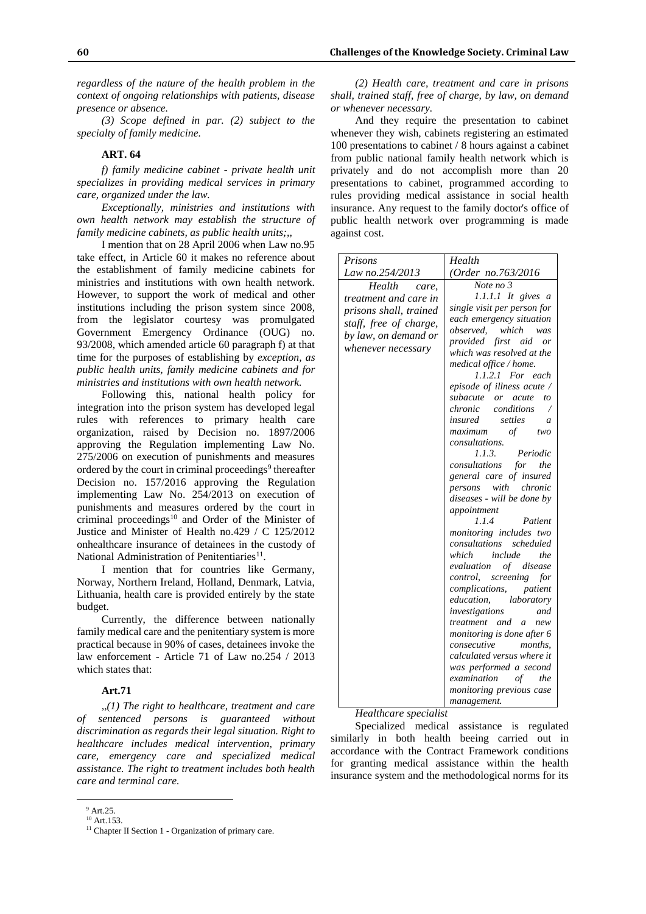*regardless of the nature of the health problem in the context of ongoing relationships with patients, disease presence or absence.*

*(3) Scope defined in par. (2) subject to the specialty of family medicine.*

# **ART. 64**

*f) family medicine cabinet - private health unit specializes in providing medical services in primary care, organized under the law.*

*Exceptionally, ministries and institutions with own health network may establish the structure of family medicine cabinets, as public health units;,,*

I mention that on 28 April 2006 when Law no.95 take effect, in Article 60 it makes no reference about the establishment of family medicine cabinets for ministries and institutions with own health network. However, to support the work of medical and other institutions including the prison system since 2008, from the legislator courtesy was promulgated Government Emergency Ordinance (OUG) no. 93/2008, which amended article 60 paragraph f) at that time for the purposes of establishing by *exception, as public health units, family medicine cabinets and for ministries and institutions with own health network.*

Following this, national health policy for integration into the prison system has developed legal rules with references to primary health care organization, raised by Decision no. 1897/2006 approving the Regulation implementing Law No. 275/2006 on execution of punishments and measures ordered by the court in criminal proceedings<sup>9</sup> thereafter Decision no. 157/2016 approving the Regulation implementing Law No. 254/2013 on execution of punishments and measures ordered by the court in criminal proceedings<sup>10</sup> and Order of the Minister of Justice and Minister of Health no.429 / C 125/2012 onhealthcare insurance of detainees in the custody of National Administration of Penitentiaries<sup>11</sup>.

I mention that for countries like Germany, Norway, Northern Ireland, Holland, Denmark, Latvia, Lithuania, health care is provided entirely by the state budget.

Currently, the difference between nationally family medical care and the penitentiary system is more practical because in 90% of cases, detainees invoke the law enforcement - Article 71 of Law no.254 / 2013 which states that:

# **Art.71**

*,,(1) The right to healthcare, treatment and care of sentenced persons is guaranteed without discrimination as regards their legal situation. Right to healthcare includes medical intervention, primary care, emergency care and specialized medical assistance. The right to treatment includes both health care and terminal care.*

 $\overline{a}$ 

*(2) Health care, treatment and care in prisons shall, trained staff, free of charge, by law, on demand or whenever necessary.*

And they require the presentation to cabinet whenever they wish, cabinets registering an estimated 100 presentations to cabinet / 8 hours against a cabinet from public national family health network which is privately and do not accomplish more than 20 presentations to cabinet, programmed according to rules providing medical assistance in social health insurance. Any request to the family doctor's office of public health network over programming is made against cost.

|                        | Health                                          |
|------------------------|-------------------------------------------------|
| Prisons                |                                                 |
| Law no.254/2013        | (Order no.763/2016                              |
| Health care,           | Note $\overline{no\ 3}$                         |
| treatment and care in  | 1.1.1.1 It gives $a$                            |
| prisons shall, trained | single visit per person for                     |
| staff, free of charge, | each emergency situation                        |
| by law, on demand or   | observed, which was                             |
| whenever necessary     | provided first aid or                           |
|                        | which was resolved at the                       |
|                        | medical office / home.                          |
|                        | $1.1.2.1$ For each                              |
|                        | episode of illness acute /                      |
|                        | subacute or<br>acute<br>to                      |
|                        | chronic conditions<br>$\overline{\phantom{a}}$  |
|                        | insured<br>settles<br>a                         |
|                        | of two<br>maximum                               |
|                        | consultations.                                  |
|                        | 1.1.3.<br>Periodic                              |
|                        | consultations for<br>the                        |
|                        | general care of insured<br>persons with chronic |
|                        | diseases - will be done by                      |
|                        |                                                 |
|                        | appointment<br>1.1.4 Patient                    |
|                        | monitoring includes two                         |
|                        | consultations scheduled                         |
|                        | which include<br>the                            |
|                        | evaluation of disease                           |
|                        | control, screening for                          |
|                        | complications, patient                          |
|                        | education, laboratory                           |
|                        | investigations<br>and                           |
|                        | treatment and a new                             |
|                        | monitoring is done after 6                      |
|                        | <i>consecutive months.</i>                      |
|                        | calculated versus where it                      |
|                        | was performed a second                          |
|                        | examination<br>the<br>οf                        |
|                        | monitoring previous case                        |
|                        | management.                                     |

*Healthcare specialist*

Specialized medical assistance is regulated similarly in both health beeing carried out in accordance with the Contract Framework conditions for granting medical assistance within the health insurance system and the methodological norms for its

<sup>9</sup> Art.25.

 $10$  Art. 153.

<sup>&</sup>lt;sup>11</sup> Chapter II Section 1 - Organization of primary care.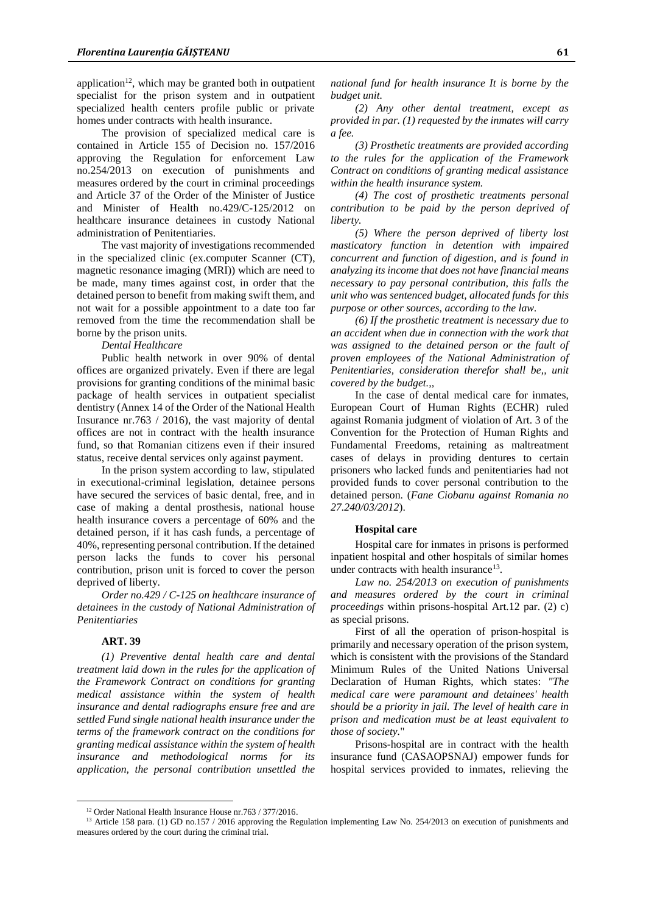application<sup>12</sup>, which may be granted both in outpatient specialist for the prison system and in outpatient specialized health centers profile public or private homes under contracts with health insurance.

The provision of specialized medical care is contained in Article 155 of Decision no. 157/2016 approving the Regulation for enforcement Law no.254/2013 on execution of punishments and measures ordered by the court in criminal proceedings and Article 37 of the Order of the Minister of Justice and Minister of Health no.429/C-125/2012 on healthcare insurance detainees in custody National administration of Penitentiaries.

The vast majority of investigations recommended in the specialized clinic (ex.computer Scanner (CT), magnetic resonance imaging (MRI)) which are need to be made, many times against cost, in order that the detained person to benefit from making swift them, and not wait for a possible appointment to a date too far removed from the time the recommendation shall be borne by the prison units.

# *Dental Healthcare*

Public health network in over 90% of dental offices are organized privately. Even if there are legal provisions for granting conditions of the minimal basic package of health services in outpatient specialist dentistry (Annex 14 of the Order of the National Health Insurance nr.763 / 2016), the vast majority of dental offices are not in contract with the health insurance fund, so that Romanian citizens even if their insured status, receive dental services only against payment.

In the prison system according to law, stipulated in executional-criminal legislation, detainee persons have secured the services of basic dental, free, and in case of making a dental prosthesis, national house health insurance covers a percentage of 60% and the detained person, if it has cash funds, a percentage of 40%, representing personal contribution. If the detained person lacks the funds to cover his personal contribution, prison unit is forced to cover the person deprived of liberty.

*Order no.429 / C-125 on healthcare insurance of detainees in the custody of National Administration of Penitentiaries*

### **ART. 39**

 $\overline{a}$ 

*(1) Preventive dental health care and dental treatment laid down in the rules for the application of the Framework Contract on conditions for granting medical assistance within the system of health insurance and dental radiographs ensure free and are settled Fund single national health insurance under the terms of the framework contract on the conditions for granting medical assistance within the system of health insurance and methodological norms for its application, the personal contribution unsettled the* 

*national fund for health insurance It is borne by the budget unit.*

*(2) Any other dental treatment, except as provided in par. (1) requested by the inmates will carry a fee.*

*(3) Prosthetic treatments are provided according to the rules for the application of the Framework Contract on conditions of granting medical assistance within the health insurance system.*

*(4) The cost of prosthetic treatments personal contribution to be paid by the person deprived of liberty.*

*(5) Where the person deprived of liberty lost masticatory function in detention with impaired concurrent and function of digestion, and is found in analyzing its income that does not have financial means necessary to pay personal contribution, this falls the unit who was sentenced budget, allocated funds for this purpose or other sources, according to the law.*

*(6) If the prosthetic treatment is necessary due to an accident when due in connection with the work that was assigned to the detained person or the fault of proven employees of the National Administration of Penitentiaries, consideration therefor shall be,, unit covered by the budget.,,*

In the case of dental medical care for inmates, European Court of Human Rights (ECHR) ruled against Romania judgment of violation of Art. 3 of the Convention for the Protection of Human Rights and Fundamental Freedoms, retaining as maltreatment cases of delays in providing dentures to certain prisoners who lacked funds and penitentiaries had not provided funds to cover personal contribution to the detained person. (*Fane Ciobanu against Romania no 27.240/03/2012*).

#### **Hospital care**

Hospital care for inmates in prisons is performed inpatient hospital and other hospitals of similar homes under contracts with health insurance<sup>13</sup>.

*Law no. 254/2013 on execution of punishments and measures ordered by the court in criminal proceedings* within prisons-hospital Art.12 par. (2) c) as special prisons.

First of all the operation of prison-hospital is primarily and necessary operation of the prison system, which is consistent with the provisions of the Standard Minimum Rules of the United Nations Universal Declaration of Human Rights, which states: *"The medical care were paramount and detainees' health should be a priority in jail. The level of health care in prison and medication must be at least equivalent to those of society.*"

Prisons-hospital are in contract with the health insurance fund (CASAOPSNAJ) empower funds for hospital services provided to inmates, relieving the

<sup>&</sup>lt;sup>12</sup> Order National Health Insurance House nr.763 / 377/2016.

<sup>&</sup>lt;sup>13</sup> Article 158 para. (1) GD no.157 / 2016 approving the Regulation implementing Law No. 254/2013 on execution of punishments and measures ordered by the court during the criminal trial.